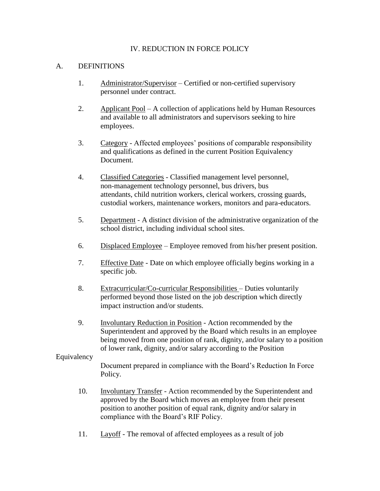#### IV. REDUCTION IN FORCE POLICY

#### A. DEFINITIONS

- 1. Administrator/Supervisor Certified or non-certified supervisory personnel under contract.
- 2. Applicant Pool A collection of applications held by Human Resources and available to all administrators and supervisors seeking to hire employees.
- 3. Category Affected employees' positions of comparable responsibility and qualifications as defined in the current Position Equivalency Document.
- 4. Classified Categories Classified management level personnel, non-management technology personnel, bus drivers, bus attendants, child nutrition workers, clerical workers, crossing guards, custodial workers, maintenance workers, monitors and para-educators.
- 5. Department A distinct division of the administrative organization of the school district, including individual school sites.
- 6. Displaced Employee Employee removed from his/her present position.
- 7. Effective Date Date on which employee officially begins working in a specific job.
- 8. Extracurricular/Co-curricular Responsibilities Duties voluntarily performed beyond those listed on the job description which directly impact instruction and/or students.
- 9. Involuntary Reduction in Position Action recommended by the Superintendent and approved by the Board which results in an employee being moved from one position of rank, dignity, and/or salary to a position of lower rank, dignity, and/or salary according to the Position

#### Equivalency

 Document prepared in compliance with the Board's Reduction In Force Policy.

- 10. Involuntary Transfer Action recommended by the Superintendent and approved by the Board which moves an employee from their present position to another position of equal rank, dignity and/or salary in compliance with the Board's RIF Policy.
- 11. Layoff The removal of affected employees as a result of job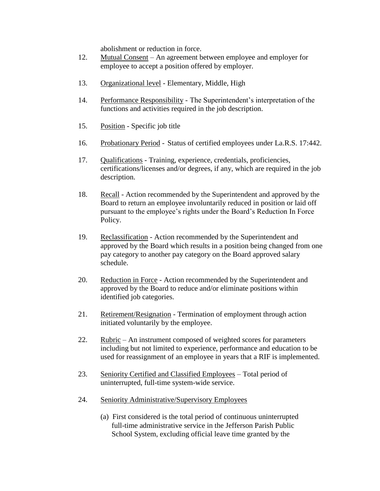abolishment or reduction in force.

- 12. Mutual Consent An agreement between employee and employer for employee to accept a position offered by employer.
- 13. Organizational level Elementary, Middle, High
- 14. Performance Responsibility The Superintendent's interpretation of the functions and activities required in the job description.
- 15. Position Specific job title
- 16. Probationary Period Status of certified employees under La.R.S. 17:442.
- 17. Qualifications Training, experience, credentials, proficiencies, certifications/licenses and/or degrees, if any, which are required in the job description.
- 18. Recall Action recommended by the Superintendent and approved by the Board to return an employee involuntarily reduced in position or laid off pursuant to the employee's rights under the Board's Reduction In Force Policy.
- 19. Reclassification Action recommended by the Superintendent and approved by the Board which results in a position being changed from one pay category to another pay category on the Board approved salary schedule.
- 20. Reduction in Force Action recommended by the Superintendent and approved by the Board to reduce and/or eliminate positions within identified job categories.
- 21. Retirement/Resignation Termination of employment through action initiated voluntarily by the employee.
- 22. Rubric An instrument composed of weighted scores for parameters including but not limited to experience, performance and education to be used for reassignment of an employee in years that a RIF is implemented.
- 23. Seniority Certified and Classified Employees Total period of uninterrupted, full-time system-wide service.
- 24. Seniority Administrative/Supervisory Employees
	- (a) First considered is the total period of continuous uninterrupted full-time administrative service in the Jefferson Parish Public School System, excluding official leave time granted by the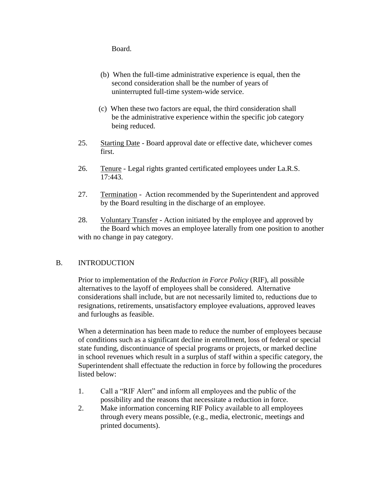Board.

- (b) When the full-time administrative experience is equal, then the second consideration shall be the number of years of uninterrupted full-time system-wide service.
- (c) When these two factors are equal, the third consideration shall be the administrative experience within the specific job category being reduced.
- 25. Starting Date Board approval date or effective date, whichever comes first.
- 26. Tenure Legal rights granted certificated employees under La.R.S. 17:443.
- 27. Termination Action recommended by the Superintendent and approved by the Board resulting in the discharge of an employee.
- 28. Voluntary Transfer Action initiated by the employee and approved by the Board which moves an employee laterally from one position to another with no change in pay category.

# B. INTRODUCTION

Prior to implementation of the *Reduction in Force Policy* (RIF), all possible alternatives to the layoff of employees shall be considered. Alternative considerations shall include, but are not necessarily limited to, reductions due to resignations, retirements, unsatisfactory employee evaluations, approved leaves and furloughs as feasible.

When a determination has been made to reduce the number of employees because of conditions such as a significant decline in enrollment, loss of federal or special state funding, discontinuance of special programs or projects, or marked decline in school revenues which result in a surplus of staff within a specific category, the Superintendent shall effectuate the reduction in force by following the procedures listed below:

- 1. Call a "RIF Alert" and inform all employees and the public of the possibility and the reasons that necessitate a reduction in force.
- 2. Make information concerning RIF Policy available to all employees through every means possible, (e.g., media, electronic, meetings and printed documents).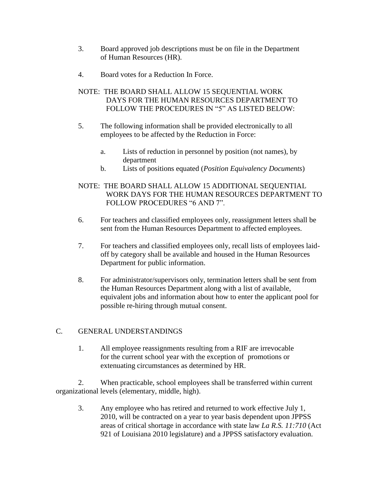- 3. Board approved job descriptions must be on file in the Department of Human Resources (HR).
- 4. Board votes for a Reduction In Force.

# NOTE: THE BOARD SHALL ALLOW 15 SEQUENTIAL WORK DAYS FOR THE HUMAN RESOURCES DEPARTMENT TO FOLLOW THE PROCEDURES IN "5" AS LISTED BELOW:

- 5. The following information shall be provided electronically to all employees to be affected by the Reduction in Force:
	- a. Lists of reduction in personnel by position (not names), by department
	- b. Lists of positions equated (*Position Equivalency Documents*)

# NOTE: THE BOARD SHALL ALLOW 15 ADDITIONAL SEQUENTIAL WORK DAYS FOR THE HUMAN RESOURCES DEPARTMENT TO FOLLOW PROCEDURES "6 AND 7".

- 6. For teachers and classified employees only, reassignment letters shall be sent from the Human Resources Department to affected employees.
- 7. For teachers and classified employees only, recall lists of employees laidoff by category shall be available and housed in the Human Resources Department for public information.
- 8. For administrator/supervisors only, termination letters shall be sent from the Human Resources Department along with a list of available, equivalent jobs and information about how to enter the applicant pool for possible re-hiring through mutual consent.

# C. GENERAL UNDERSTANDINGS

1. All employee reassignments resulting from a RIF are irrevocable for the current school year with the exception of promotions or extenuating circumstances as determined by HR.

2. When practicable, school employees shall be transferred within current organizational levels (elementary, middle, high).

3. Any employee who has retired and returned to work effective July 1, 2010, will be contracted on a year to year basis dependent upon JPPSS areas of critical shortage in accordance with state law *La R.S. 11:710* (Act 921 of Louisiana 2010 legislature) and a JPPSS satisfactory evaluation.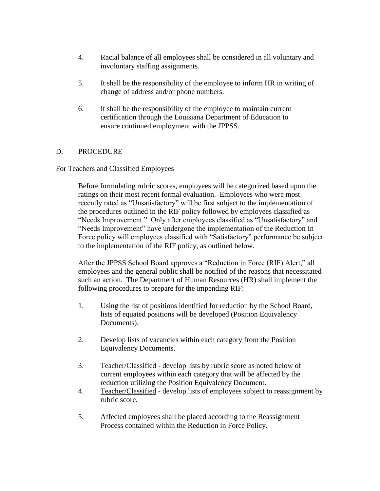- 4. Racial balance of all employees shall be considered in all voluntary and involuntary staffing assignments.
- 5. It shall be the responsibility of the employee to inform HR in writing of change of address and/or phone numbers.
- 6. It shall be the responsibility of the employee to maintain current certification through the Louisiana Department of Education to ensure continued employment with the JPPSS.

### D. PROCEDURE

#### For Teachers and Classified Employees

Before formulating rubric scores, employees will be categorized based upon the ratings on their most recent formal evaluation. Employees who were most recently rated as "Unsatisfactory" will be first subject to the implementation of the procedures outlined in the RIF policy followed by employees classified as "Needs Improvement." Only after employees classified as "Unsatisfactory" and "Needs Improvement" have undergone the implementation of the Reduction In Force policy will employees classified with "Satisfactory" performance be subject to the implementation of the RIF policy, as outlined below.

After the JPPSS School Board approves a "Reduction in Force (RIF) Alert," all employees and the general public shall be notified of the reasons that necessitated such an action. The Department of Human Resources (HR) shall implement the following procedures to prepare for the impending RIF:

- 1. Using the list of positions identified for reduction by the School Board, lists of equated positions will be developed (Position Equivalency Documents).
- 2. Develop lists of vacancies within each category from the Position Equivalency Documents.
- 3. Teacher/Classified develop lists by rubric score as noted below of current employees within each category that will be affected by the reduction utilizing the Position Equivalency Document.
- 4. Teacher/Classified develop lists of employees subject to reassignment by rubric score.
- 5. Affected employees shall be placed according to the Reassignment Process contained within the Reduction in Force Policy.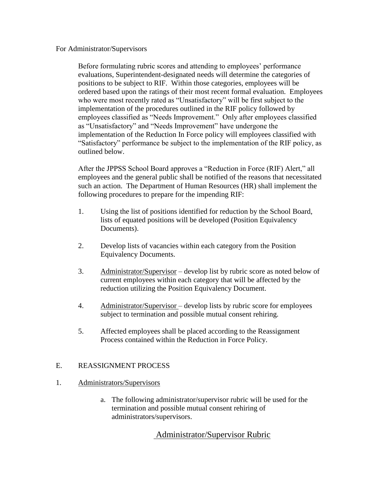#### For Administrator/Supervisors

Before formulating rubric scores and attending to employees' performance evaluations, Superintendent-designated needs will determine the categories of positions to be subject to RIF. Within those categories, employees will be ordered based upon the ratings of their most recent formal evaluation. Employees who were most recently rated as "Unsatisfactory" will be first subject to the implementation of the procedures outlined in the RIF policy followed by employees classified as "Needs Improvement." Only after employees classified as "Unsatisfactory" and "Needs Improvement" have undergone the implementation of the Reduction In Force policy will employees classified with "Satisfactory" performance be subject to the implementation of the RIF policy, as outlined below.

After the JPPSS School Board approves a "Reduction in Force (RIF) Alert," all employees and the general public shall be notified of the reasons that necessitated such an action. The Department of Human Resources (HR) shall implement the following procedures to prepare for the impending RIF:

- 1. Using the list of positions identified for reduction by the School Board, lists of equated positions will be developed (Position Equivalency Documents).
- 2. Develop lists of vacancies within each category from the Position Equivalency Documents.
- 3. Administrator/Supervisor develop list by rubric score as noted below of current employees within each category that will be affected by the reduction utilizing the Position Equivalency Document.
- 4. Administrator/Supervisor develop lists by rubric score for employees subject to termination and possible mutual consent rehiring.
- 5. Affected employees shall be placed according to the Reassignment Process contained within the Reduction in Force Policy.

#### E. REASSIGNMENT PROCESS

#### 1. Administrators/Supervisors

a. The following administrator/supervisor rubric will be used for the termination and possible mutual consent rehiring of administrators/supervisors.

# Administrator/Supervisor Rubric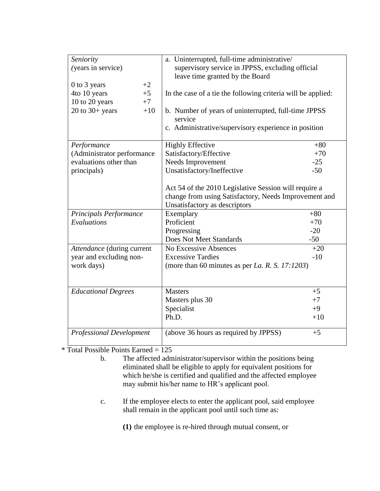| Seniority<br>(years in service)<br>0 to 3 years<br>$+2$ | a. Uninterrupted, full-time administrative/<br>supervisory service in JPPSS, excluding official<br>leave time granted by the Board |       |
|---------------------------------------------------------|------------------------------------------------------------------------------------------------------------------------------------|-------|
| 4to 10 years<br>$+5$                                    | In the case of a tie the following criteria will be applied:                                                                       |       |
| 10 to 20 years<br>$+7$                                  |                                                                                                                                    |       |
| $20$ to $30+$ years<br>$+10$                            | b. Number of years of uninterrupted, full-time JPPSS                                                                               |       |
|                                                         | service                                                                                                                            |       |
|                                                         | c. Administrative/supervisory experience in position                                                                               |       |
|                                                         |                                                                                                                                    |       |
| Performance                                             | <b>Highly Effective</b>                                                                                                            | $+80$ |
| (Administrator performance                              | Satisfactory/Effective                                                                                                             | $+70$ |
| evaluations other than                                  | Needs Improvement                                                                                                                  | $-25$ |
| principals)                                             | Unsatisfactory/Ineffective                                                                                                         | $-50$ |
|                                                         |                                                                                                                                    |       |
|                                                         | Act 54 of the 2010 Legislative Session will require a                                                                              |       |
|                                                         | change from using Satisfactory, Needs Improvement and                                                                              |       |
|                                                         | Unsatisfactory as descriptors                                                                                                      |       |
| Principals Performance                                  | Exemplary                                                                                                                          | $+80$ |
| Evaluations                                             | Proficient                                                                                                                         | $+70$ |
|                                                         | Progressing                                                                                                                        | $-20$ |
|                                                         | Does Not Meet Standards                                                                                                            | $-50$ |
| Attendance (during current                              | No Excessive Absences                                                                                                              | $+20$ |
| year and excluding non-                                 | <b>Excessive Tardies</b>                                                                                                           | $-10$ |
| work days)                                              | (more than 60 minutes as per La. R. S. 17:1203)                                                                                    |       |
|                                                         |                                                                                                                                    |       |
|                                                         |                                                                                                                                    |       |
| <b>Educational Degrees</b>                              | <b>Masters</b>                                                                                                                     | $+5$  |
|                                                         | Masters plus 30                                                                                                                    | $+7$  |
|                                                         | Specialist                                                                                                                         | $+9$  |
|                                                         | Ph.D.                                                                                                                              | $+10$ |
| <b>Professional Development</b>                         | (above 36 hours as required by JPPSS)                                                                                              | $+5$  |

\* Total Possible Points Earned = 125

- b. The affected administrator/supervisor within the positions being eliminated shall be eligible to apply for equivalent positions for which he/she is certified and qualified and the affected employee may submit his/her name to HR's applicant pool.
- c. If the employee elects to enter the applicant pool, said employee shall remain in the applicant pool until such time as:

**(1)** the employee is re-hired through mutual consent, or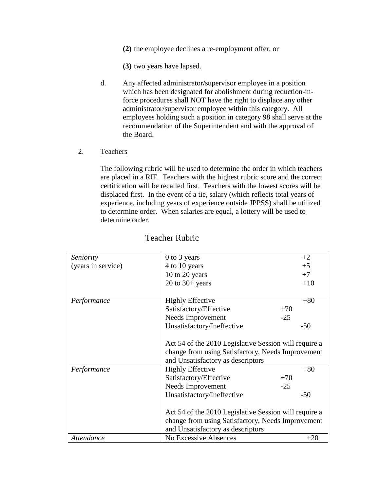**(2)** the employee declines a re-employment offer, or

**(3)** two years have lapsed.

- d. Any affected administrator/supervisor employee in a position which has been designated for abolishment during reduction-inforce procedures shall NOT have the right to displace any other administrator/supervisor employee within this category. All employees holding such a position in category 98 shall serve at the recommendation of the Superintendent and with the approval of the Board.
- 2. Teachers

The following rubric will be used to determine the order in which teachers are placed in a RIF. Teachers with the highest rubric score and the correct certification will be recalled first. Teachers with the lowest scores will be displaced first. In the event of a tie, salary (which reflects total years of experience, including years of experience outside JPPSS) shall be utilized to determine order. When salaries are equal, a lottery will be used to determine order.

| Seniority          | 0 to 3 years                                          | $+2$  |  |
|--------------------|-------------------------------------------------------|-------|--|
| (years in service) | 4 to 10 years                                         | $+5$  |  |
|                    | 10 to 20 years                                        | $+7$  |  |
|                    | $20$ to $30+$ years                                   | $+10$ |  |
| Performance        | <b>Highly Effective</b>                               | $+80$ |  |
|                    | Satisfactory/Effective                                | $+70$ |  |
|                    | Needs Improvement                                     | $-25$ |  |
|                    | Unsatisfactory/Ineffective                            | $-50$ |  |
|                    | Act 54 of the 2010 Legislative Session will require a |       |  |
|                    | change from using Satisfactory, Needs Improvement     |       |  |
|                    | and Unsatisfactory as descriptors                     |       |  |
| Performance        | <b>Highly Effective</b>                               | $+80$ |  |
|                    | Satisfactory/Effective                                | $+70$ |  |
|                    | Needs Improvement                                     | $-25$ |  |
|                    | Unsatisfactory/Ineffective                            | $-50$ |  |
|                    | Act 54 of the 2010 Legislative Session will require a |       |  |
|                    | change from using Satisfactory, Needs Improvement     |       |  |
|                    | and Unsatisfactory as descriptors                     |       |  |
| Attendance         | No Excessive Absences                                 | $+20$ |  |

# Teacher Rubric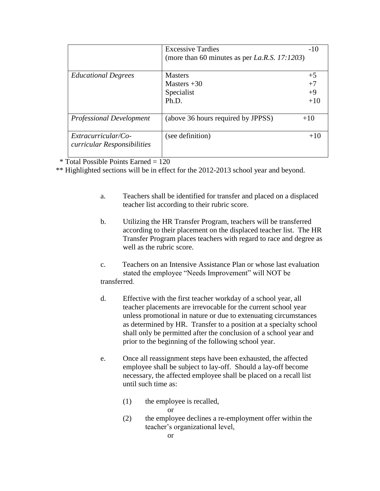|                                                    | <b>Excessive Tardies</b><br>(more than 60 minutes as per La.R.S. 17:1203) | $-10$                         |
|----------------------------------------------------|---------------------------------------------------------------------------|-------------------------------|
| <b>Educational Degrees</b>                         | <b>Masters</b><br>Masters $+30$<br>Specialist<br>Ph.D.                    | $+5$<br>$+7$<br>$+9$<br>$+10$ |
| <b>Professional Development</b>                    | (above 36 hours required by JPPSS)                                        | $+10$                         |
| Extracurricular/Co-<br>curricular Responsibilities | (see definition)                                                          | $+10$                         |

 $*$  Total Possible Points Earned = 120

\*\* Highlighted sections will be in effect for the 2012-2013 school year and beyond.

- a. Teachers shall be identified for transfer and placed on a displaced teacher list according to their rubric score.
- b. Utilizing the HR Transfer Program, teachers will be transferred according to their placement on the displaced teacher list. The HR Transfer Program places teachers with regard to race and degree as well as the rubric score.
- c. Teachers on an Intensive Assistance Plan or whose last evaluation stated the employee "Needs Improvement" will NOT be transferred.
- d. Effective with the first teacher workday of a school year, all teacher placements are irrevocable for the current school year unless promotional in nature or due to extenuating circumstances as determined by HR. Transfer to a position at a specialty school shall only be permitted after the conclusion of a school year and prior to the beginning of the following school year.
- e. Once all reassignment steps have been exhausted, the affected employee shall be subject to lay-off. Should a lay-off become necessary, the affected employee shall be placed on a recall list until such time as:
	- (1) the employee is recalled, or
	- (2) the employee declines a re-employment offer within the teacher's organizational level,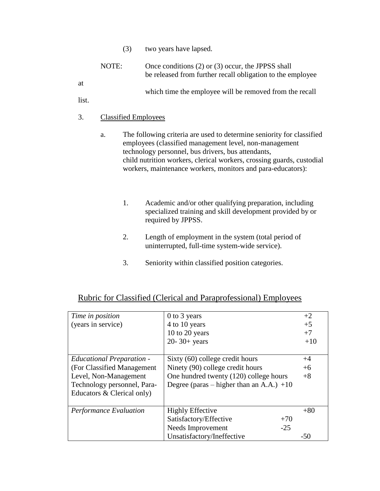(3) two years have lapsed.

| NOTE: | Once conditions $(2)$ or $(3)$ occur, the JPPSS shall<br>be released from further recall obligation to the employee |
|-------|---------------------------------------------------------------------------------------------------------------------|
|       | which time the employee will be removed from the recall                                                             |

list.

at

# 3. Classified Employees

- a. The following criteria are used to determine seniority for classified employees (classified management level, non-management technology personnel, bus drivers, bus attendants, child nutrition workers, clerical workers, crossing guards, custodial workers, maintenance workers, monitors and para-educators):
	- 1. Academic and/or other qualifying preparation, including specialized training and skill development provided by or required by JPPSS.
	- 2. Length of employment in the system (total period of uninterrupted, full-time system-wide service).
	- 3. Seniority within classified position categories.

| Time in position                 | 0 to 3 years                               | $+2$  |
|----------------------------------|--------------------------------------------|-------|
| (years in service)               | 4 to 10 years                              | $+5$  |
|                                  | 10 to 20 years                             | $+7$  |
|                                  | $20 - 30 + \text{years}$                   | $+10$ |
|                                  |                                            |       |
| <b>Educational Preparation -</b> | Sixty (60) college credit hours            | $+4$  |
| (For Classified Management)      | Ninety (90) college credit hours           | $+6$  |
| Level, Non-Management            | One hundred twenty (120) college hours     | $+8$  |
| Technology personnel, Para-      | Degree (paras – higher than an A.A.) $+10$ |       |
| Educators & Clerical only)       |                                            |       |
|                                  |                                            |       |
| Performance Evaluation           | <b>Highly Effective</b>                    | $+80$ |
|                                  | Satisfactory/Effective<br>$+70$            |       |
|                                  | Needs Improvement<br>$-25$                 |       |
|                                  | Unsatisfactory/Ineffective                 | -50   |

# Rubric for Classified (Clerical and Paraprofessional) Employees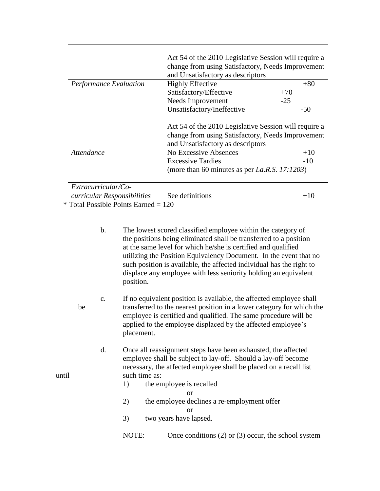|                               | Act 54 of the 2010 Legislative Session will require a<br>change from using Satisfactory, Needs Improvement<br>and Unsatisfactory as descriptors |       |
|-------------------------------|-------------------------------------------------------------------------------------------------------------------------------------------------|-------|
| <b>Performance Evaluation</b> | <b>Highly Effective</b>                                                                                                                         | $+80$ |
|                               | Satisfactory/Effective                                                                                                                          | $+70$ |
|                               | Needs Improvement                                                                                                                               | $-25$ |
|                               | Unsatisfactory/Ineffective                                                                                                                      | $-50$ |
|                               | Act 54 of the 2010 Legislative Session will require a<br>change from using Satisfactory, Needs Improvement<br>and Unsatisfactory as descriptors |       |
| Attendance                    | No Excessive Absences                                                                                                                           | $+10$ |
|                               | <b>Excessive Tardies</b>                                                                                                                        | $-10$ |
|                               | (more than 60 minutes as per La.R.S. 17:1203)                                                                                                   |       |
| Extracurricular/Co-           |                                                                                                                                                 |       |
| curricular Responsibilities   | See definitions                                                                                                                                 | $+10$ |

\* Total Possible Points Earned = 120

- b. The lowest scored classified employee within the category of the positions being eliminated shall be transferred to a position at the same level for which he/she is certified and qualified utilizing the Position Equivalency Document. In the event that no such position is available, the affected individual has the right to displace any employee with less seniority holding an equivalent position.
- c. If no equivalent position is available, the affected employee shall be transferred to the nearest position in a lower category for which the employee is certified and qualified. The same procedure will be applied to the employee displaced by the affected employee's placement.
- d. Once all reassignment steps have been exhausted, the affected employee shall be subject to lay-off. Should a lay-off become necessary, the affected employee shall be placed on a recall list until such time as:
	- 1) the employee is recalled
		- or
	- 2) the employee declines a re-employment offer

or

- 3) two years have lapsed.
- NOTE: Once conditions (2) or (3) occur, the school system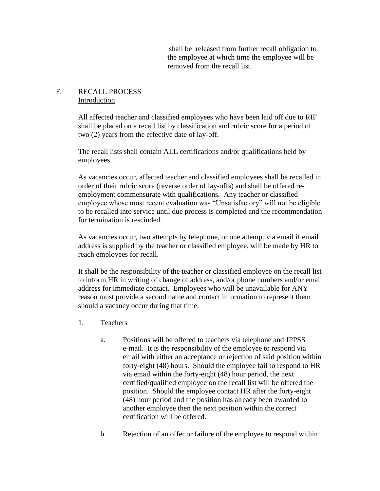shall be released from further recall obligation to the employee at which time the employee will be removed from the recall list.

# F. RECALL PROCESS Introduction

All affected teacher and classified employees who have been laid off due to RIF shall be placed on a recall list by classification and rubric score for a period of two (2) years from the effective date of lay-off.

The recall lists shall contain ALL certifications and/or qualifications held by employees.

As vacancies occur, affected teacher and classified employees shall be recalled in order of their rubric score (reverse order of lay-offs) and shall be offered reemployment commensurate with qualifications. Any teacher or classified employee whose most recent evaluation was "Unsatisfactory" will not be eligible to be recalled into service until due process is completed and the recommendation for termination is rescinded.

As vacancies occur, two attempts by telephone, or one attempt via email if email address is supplied by the teacher or classified employee, will be made by HR to reach employees for recall.

It shall be the responsibility of the teacher or classified employee on the recall list to inform HR in writing of change of address, and/or phone numbers and/or email address for immediate contact. Employees who will be unavailable for ANY reason must provide a second name and contact information to represent them should a vacancy occur during that time.

- 1. Teachers
	- a. Positions will be offered to teachers via telephone and JPPSS e-mail. It is the responsibility of the employee to respond via email with either an acceptance or rejection of said position within forty-eight (48) hours. Should the employee fail to respond to HR via email within the forty-eight (48) hour period, the next certified/qualified employee on the recall list will be offered the position. Should the employee contact HR after the forty-eight (48) hour period and the position has already been awarded to another employee then the next position within the correct certification will be offered.
	- b. Rejection of an offer or failure of the employee to respond within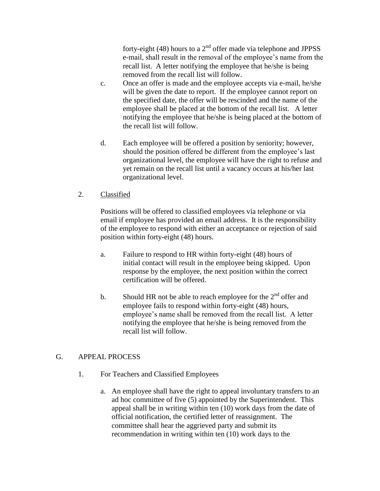forty-eight (48) hours to a  $2<sup>nd</sup>$  offer made via telephone and JPPSS e-mail, shall result in the removal of the employee's name from the recall list. A letter notifying the employee that he/she is being removed from the recall list will follow.

- c. Once an offer is made and the employee accepts via e-mail, he/she will be given the date to report. If the employee cannot report on the specified date, the offer will be rescinded and the name of the employee shall be placed at the bottom of the recall list. A letter notifying the employee that he/she is being placed at the bottom of the recall list will follow.
- d. Each employee will be offered a position by seniority; however, should the position offered be different from the employee's last organizational level, the employee will have the right to refuse and yet remain on the recall list until a vacancy occurs at his/her last organizational level.

# 2. Classified

Positions will be offered to classified employees via telephone or via email if employee has provided an email address. It is the responsibility of the employee to respond with either an acceptance or rejection of said position within forty-eight (48) hours.

- a. Failure to respond to HR within forty-eight (48) hours of initial contact will result in the employee being skipped. Upon response by the employee, the next position within the correct certification will be offered.
- b. Should HR not be able to reach employee for the  $2<sup>nd</sup>$  offer and employee fails to respond within forty-eight (48) hours, employee's name shall be removed from the recall list. A letter notifying the employee that he/she is being removed from the recall list will follow.

# G. APPEAL PROCESS

- 1. For Teachers and Classified Employees
	- a. An employee shall have the right to appeal involuntary transfers to an ad hoc committee of five (5) appointed by the Superintendent. This appeal shall be in writing within ten (10) work days from the date of official notification, the certified letter of reassignment. The committee shall hear the aggrieved party and submit its recommendation in writing within ten (10) work days to the